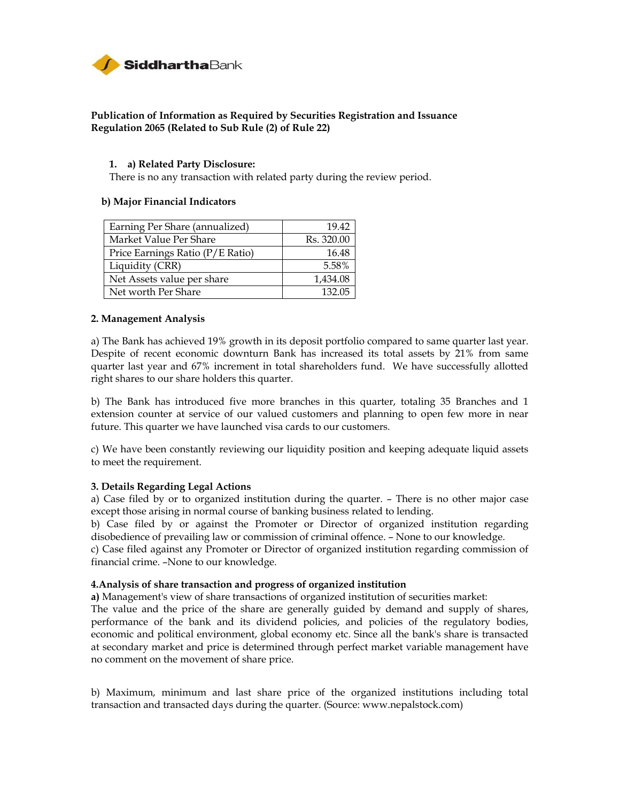

## **Publication of Information as Required by Securities Registration and Issuance Regulation 2065 (Related to Sub Rule (2) of Rule 22)**

### **1. a) Related Party Disclosure:**

There is no any transaction with related party during the review period.

### **b) Major Financial Indicators**

| Earning Per Share (annualized)   | 19.42      |
|----------------------------------|------------|
| Market Value Per Share           | Rs. 320.00 |
| Price Earnings Ratio (P/E Ratio) | 16.48      |
| Liquidity (CRR)                  | 5.58%      |
| Net Assets value per share       | 1,434.08   |
| Net worth Per Share              | 132.05     |

## **2. Management Analysis**

a) The Bank has achieved 19% growth in its deposit portfolio compared to same quarter last year. Despite of recent economic downturn Bank has increased its total assets by 21% from same quarter last year and 67% increment in total shareholders fund. We have successfully allotted right shares to our share holders this quarter.

b) The Bank has introduced five more branches in this quarter, totaling 35 Branches and 1 extension counter at service of our valued customers and planning to open few more in near future. This quarter we have launched visa cards to our customers.

c) We have been constantly reviewing our liquidity position and keeping adequate liquid assets to meet the requirement.

### **3. Details Regarding Legal Actions**

a) Case filed by or to organized institution during the quarter. – There is no other major case except those arising in normal course of banking business related to lending.

b) Case filed by or against the Promoter or Director of organized institution regarding disobedience of prevailing law or commission of criminal offence. – None to our knowledge.

c) Case filed against any Promoter or Director of organized institution regarding commission of financial crime. –None to our knowledge.

### **4.Analysis of share transaction and progress of organized institution**

**a)** Management's view of share transactions of organized institution of securities market:

The value and the price of the share are generally guided by demand and supply of shares, performance of the bank and its dividend policies, and policies of the regulatory bodies, economic and political environment, global economy etc. Since all the bank's share is transacted at secondary market and price is determined through perfect market variable management have no comment on the movement of share price.

b) Maximum, minimum and last share price of the organized institutions including total transaction and transacted days during the quarter. (Source: www.nepalstock.com)